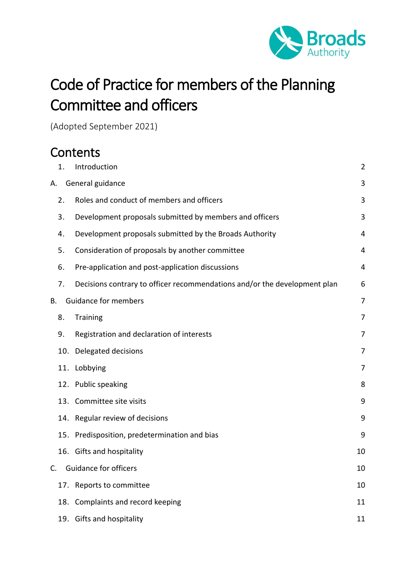

# Code of Practice for members of the Planning Committee and officers

(Adopted September 2021)

# **Contents**

|    | 1.  | Introduction                                                              | $\overline{2}$ |
|----|-----|---------------------------------------------------------------------------|----------------|
| А. |     | General guidance                                                          | 3              |
|    | 2.  | Roles and conduct of members and officers                                 | 3              |
|    | 3.  | Development proposals submitted by members and officers                   | 3              |
|    | 4.  | Development proposals submitted by the Broads Authority                   | 4              |
|    | 5.  | Consideration of proposals by another committee                           | 4              |
|    | 6.  | Pre-application and post-application discussions                          | $\overline{4}$ |
|    | 7.  | Decisions contrary to officer recommendations and/or the development plan | 6              |
| В. |     | <b>Guidance for members</b>                                               | $\overline{7}$ |
|    | 8.  | <b>Training</b>                                                           | 7              |
|    | 9.  | Registration and declaration of interests                                 | 7              |
|    | 10. | Delegated decisions                                                       | 7              |
|    | 11. | Lobbying                                                                  | 7              |
|    |     | 12. Public speaking                                                       | 8              |
|    |     | 13. Committee site visits                                                 | 9              |
|    |     | 14. Regular review of decisions                                           | 9              |
|    |     | 15. Predisposition, predetermination and bias                             | 9              |
|    |     | 16. Gifts and hospitality                                                 | 10             |
| C. |     | <b>Guidance for officers</b>                                              | 10             |
|    |     | 17. Reports to committee                                                  | 10             |
|    |     | 18. Complaints and record keeping                                         | 11             |
|    |     | 19. Gifts and hospitality                                                 | 11             |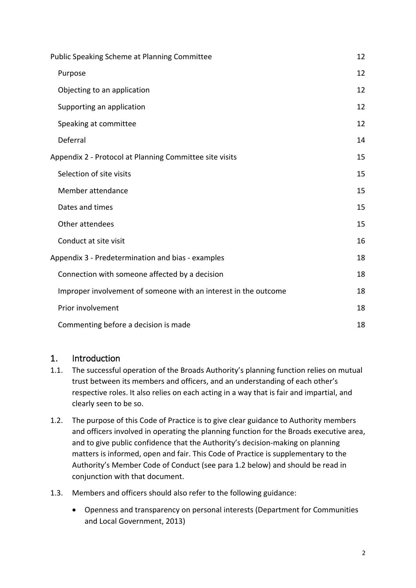| Public Speaking Scheme at Planning Committee                    |    |
|-----------------------------------------------------------------|----|
| Purpose                                                         | 12 |
| Objecting to an application                                     | 12 |
| Supporting an application                                       | 12 |
| Speaking at committee                                           | 12 |
| Deferral                                                        | 14 |
| Appendix 2 - Protocol at Planning Committee site visits         | 15 |
| Selection of site visits                                        | 15 |
| Member attendance                                               | 15 |
| Dates and times                                                 | 15 |
| Other attendees                                                 | 15 |
| Conduct at site visit                                           | 16 |
| Appendix 3 - Predetermination and bias - examples               |    |
| Connection with someone affected by a decision                  | 18 |
| Improper involvement of someone with an interest in the outcome | 18 |
| Prior involvement                                               | 18 |
| Commenting before a decision is made                            | 18 |

#### <span id="page-1-0"></span>1. Introduction

- 1.1. The successful operation of the Broads Authority's planning function relies on mutual trust between its members and officers, and an understanding of each other's respective roles. It also relies on each acting in a way that is fair and impartial, and clearly seen to be so.
- 1.2. The purpose of this Code of Practice is to give clear guidance to Authority members and officers involved in operating the planning function for the Broads executive area, and to give public confidence that the Authority's decision-making on planning matters is informed, open and fair. This Code of Practice is supplementary to the Authority's Member Code of Conduct (see para 1.2 below) and should be read in conjunction with that document.
- 1.3. Members and officers should also refer to the following guidance:
	- [Openness and transparency on personal interests](https://www.gov.uk/government/publications/openness-and-transparency-on-personal-interests-guidance-for-councillors) (Department for Communities and Local Government, 2013)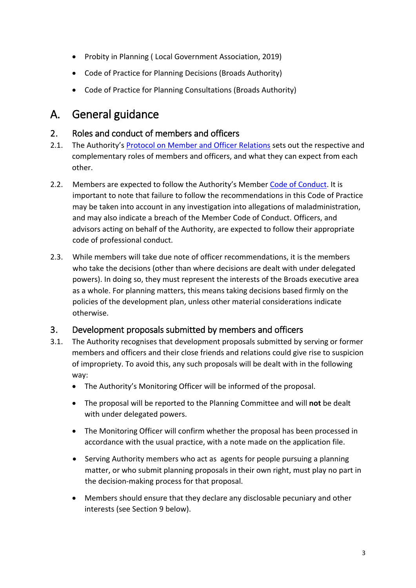- [Probity in Planning](https://www.local.gov.uk/probity-planning-advice-councillors-and-officers-making-planning-decisions) ( Local Government Association, 2019)
- [Code of Practice for Planning Decisions](https://www.broads-authority.gov.uk/planning/planning-permission/how-we-make-decisions/code-of-practice-for-planning-decisions) (Broads Authority)
- [Code of Practice for Planning Consultations](https://www.broads-authority.gov.uk/planning/planning-permission/How-do-I-comment-on-an-application/code-of-practice-for-planning-consultations) (Broads Authority)

# <span id="page-2-0"></span>A. General guidance

#### <span id="page-2-1"></span>2. Roles and conduct of members and officers

- 2.1. The Authority's [Protocol on Member and Officer Relations](https://www.broads-authority.gov.uk/__data/assets/pdf_file/0022/242761/Protocol-on-Member-and-Officer-Relations-in-the-BA.pdf) sets out the respective and complementary roles of members and officers, and what they can expect from each other.
- 2.2. Members are expected to follow the Authority's Member [Code of Conduct.](http://www.broads-authority.gov.uk/broads-authority/committees/constitutional-documents) It is important to note that failure to follow the recommendations in this Code of Practice may be taken into account in any investigation into allegations of maladministration, and may also indicate a breach of the Member Code of Conduct. Officers, and advisors acting on behalf of the Authority, are expected to follow their appropriate code of professional conduct.
- 2.3. While members will take due note of officer recommendations, it is the members who take the decisions (other than where decisions are dealt with under delegated powers). In doing so, they must represent the interests of the Broads executive area as a whole. For planning matters, this means taking decisions based firmly on the policies of the development plan, unless other material considerations indicate otherwise.

## <span id="page-2-2"></span>3. Development proposals submitted by members and officers

- 3.1. The Authority recognises that development proposals submitted by serving or former members and officers and their close friends and relations could give rise to suspicion of impropriety. To avoid this, any such proposals will be dealt with in the following way:
	- The Authority's Monitoring Officer will be informed of the proposal.
	- The proposal will be reported to the Planning Committee and will **not** be dealt with under delegated powers.
	- The Monitoring Officer will confirm whether the proposal has been processed in accordance with the usual practice, with a note made on the application file.
	- Serving Authority members who act as agents for people pursuing a planning matter, or who submit planning proposals in their own right, must play no part in the decision-making process for that proposal.
	- Members should ensure that they declare any disclosable pecuniary and other interests (see Section 9 below).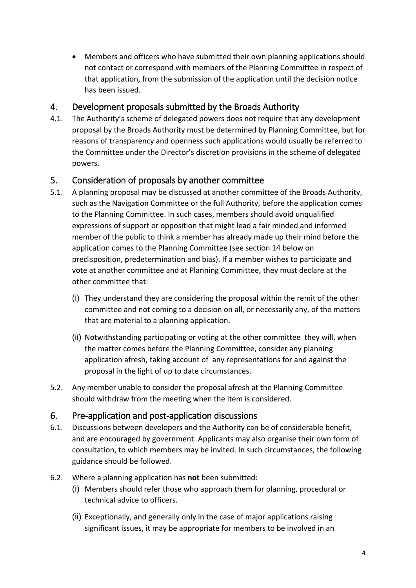• Members and officers who have submitted their own planning applications should not contact or correspond with members of the Planning Committee in respect of that application, from the submission of the application until the decision notice has been issued.

#### <span id="page-3-0"></span>4. Development proposals submitted by the Broads Authority

4.1. The Authority's scheme of delegated powers does not require that any development proposal by the Broads Authority must be determined by Planning Committee, but for reasons of transparency and openness such applications would usually be referred to the Committee under the Director's discretion provisions in the scheme of delegated powers.

## <span id="page-3-1"></span>5. Consideration of proposals by another committee

- 5.1. A planning proposal may be discussed at another committee of the Broads Authority, such as the Navigation Committee or the full Authority, before the application comes to the Planning Committee. In such cases, members should avoid unqualified expressions of support or opposition that might lead a fair minded and informed member of the public to think a member has already made up their mind before the application comes to the Planning Committee (see section 14 below on predisposition, predetermination and bias). If a member wishes to participate and vote at another committee and at Planning Committee, they must declare at the other committee that:
	- (i) They understand they are considering the proposal within the remit of the other committee and not coming to a decision on all, or necessarily any, of the matters that are material to a planning application.
	- (ii) Notwithstanding participating or voting at the other committee they will, when the matter comes before the Planning Committee, consider any planning application afresh, taking account of any representations for and against the proposal in the light of up to date circumstances.
- 5.2. Any member unable to consider the proposal afresh at the Planning Committee should withdraw from the meeting when the item is considered.

## <span id="page-3-2"></span>6. Pre-application and post-application discussions

- 6.1. Discussions between developers and the Authority can be of considerable benefit, and are encouraged by government. Applicants may also organise their own form of consultation, to which members may be invited. In such circumstances, the following guidance should be followed.
- 6.2. Where a planning application has **not** been submitted:
	- (i) Members should refer those who approach them for planning, procedural or technical advice to officers.
	- (ii) Exceptionally, and generally only in the case of major applications raising significant issues, it may be appropriate for members to be involved in an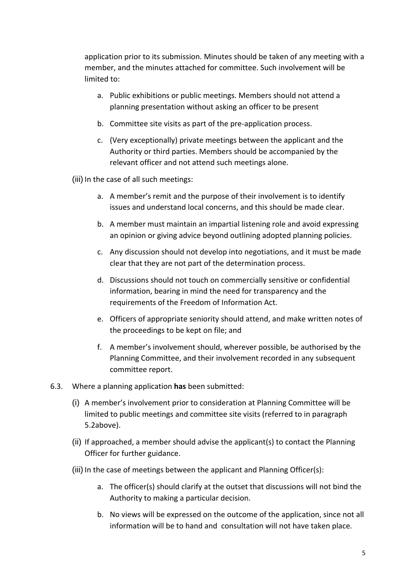application prior to its submission. Minutes should be taken of any meeting with a member, and the minutes attached for committee. Such involvement will be limited to:

- a. Public exhibitions or public meetings. Members should not attend a planning presentation without asking an officer to be present
- b. Committee site visits as part of the pre-application process.
- c. (Very exceptionally) private meetings between the applicant and the Authority or third parties. Members should be accompanied by the relevant officer and not attend such meetings alone.
- (iii) In the case of all such meetings:
	- a. A member's remit and the purpose of their involvement is to identify issues and understand local concerns, and this should be made clear.
	- b. A member must maintain an impartial listening role and avoid expressing an opinion or giving advice beyond outlining adopted planning policies.
	- c. Any discussion should not develop into negotiations, and it must be made clear that they are not part of the determination process.
	- d. Discussions should not touch on commercially sensitive or confidential information, bearing in mind the need for transparency and the requirements of the Freedom of Information Act.
	- e. Officers of appropriate seniority should attend, and make written notes of the proceedings to be kept on file; and
	- f. A member's involvement should, wherever possible, be authorised by the Planning Committee, and their involvement recorded in any subsequent committee report.
- 6.3. Where a planning application **has** been submitted:
	- (i) A member's involvement prior to consideration at Planning Committee will be limited to public meetings and committee site visits (referred to in paragraph 5.2above).
	- (ii) If approached, a member should advise the applicant(s) to contact the Planning Officer for further guidance.
	- (iii) In the case of meetings between the applicant and Planning Officer(s):
		- a. The officer(s) should clarify at the outset that discussions will not bind the Authority to making a particular decision.
		- b. No views will be expressed on the outcome of the application, since not all information will be to hand and consultation will not have taken place*.*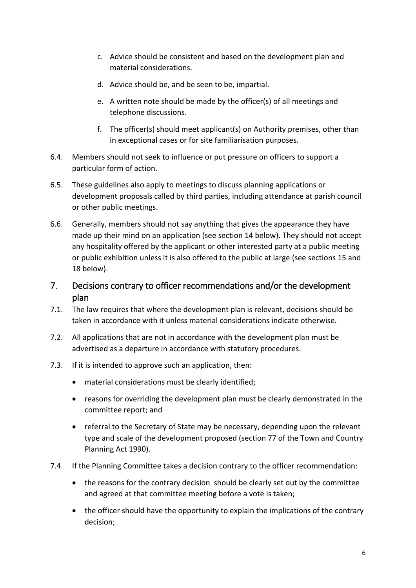- c. Advice should be consistent and based on the development plan and material considerations.
- d. Advice should be, and be seen to be, impartial.
- e. A written note should be made by the officer(s) of all meetings and telephone discussions.
- f. The officer(s) should meet applicant(s) on Authority premises, other than in exceptional cases or for site familiarisation purposes.
- 6.4. Members should not seek to influence or put pressure on officers to support a particular form of action.
- 6.5. These guidelines also apply to meetings to discuss planning applications or development proposals called by third parties, including attendance at parish council or other public meetings.
- 6.6. Generally, members should not say anything that gives the appearance they have made up their mind on an application (see section 14 below). They should not accept any hospitality offered by the applicant or other interested party at a public meeting or public exhibition unless it is also offered to the public at large (see sections 15 and 18 below).
- <span id="page-5-0"></span>7. Decisions contrary to officer recommendations and/or the development plan
- 7.1. The law requires that where the development plan is relevant, decisions should be taken in accordance with it unless material considerations indicate otherwise.
- 7.2. All applications that are not in accordance with the development plan must be advertised as a departure in accordance with statutory procedures.
- 7.3. If it is intended to approve such an application, then:
	- material considerations must be clearly identified;
	- reasons for overriding the development plan must be clearly demonstrated in the committee report; and
	- referral to the Secretary of State may be necessary, depending upon the relevant type and scale of the development proposed (section 77 of the Town and Country Planning Act 1990).
- 7.4. If the Planning Committee takes a decision contrary to the officer recommendation:
	- the reasons for the contrary decision should be clearly set out by the committee and agreed at that committee meeting before a vote is taken;
	- the officer should have the opportunity to explain the implications of the contrary decision;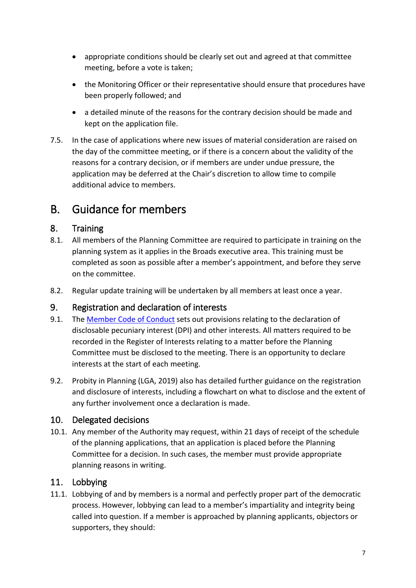- appropriate conditions should be clearly set out and agreed at that committee meeting, before a vote is taken;
- the Monitoring Officer or their representative should ensure that procedures have been properly followed; and
- a detailed minute of the reasons for the contrary decision should be made and kept on the application file.
- 7.5. In the case of applications where new issues of material consideration are raised on the day of the committee meeting, or if there is a concern about the validity of the reasons for a contrary decision, or if members are under undue pressure, the application may be deferred at the Chair's discretion to allow time to compile additional advice to members.

# <span id="page-6-0"></span>B. Guidance for members

## <span id="page-6-1"></span>8. Training

- 8.1. All members of the Planning Committee are required to participate in training on the planning system as it applies in the Broads executive area. This training must be completed as soon as possible after a member's appointment, and before they serve on the committee.
- 8.2. Regular update training will be undertaken by all members at least once a year.

## <span id="page-6-2"></span>9. Registration and declaration of interests

- 9.1. The [Member Code of Conduct](https://www.broads-authority.gov.uk/__data/assets/pdf_file/0024/186126/Member-Code-of-Conduct.pdf) sets out provisions relating to the declaration of disclosable pecuniary interest (DPI) and other interests. All matters required to be recorded in the Register of Interests relating to a matter before the Planning Committee must be disclosed to the meeting. There is an opportunity to declare interests at the start of each meeting.
- 9.2. [Probity in Planning](https://www.local.gov.uk/probity-planning-advice-councillors-and-officers-making-planning-decisions) (LGA, 2019) also has detailed further guidance on the registration and disclosure of interests, including a flowchart on what to disclose and the extent of any further involvement once a declaration is made.

## <span id="page-6-3"></span>10. Delegated decisions

10.1. Any member of the Authority may request, within 21 days of receipt of the schedule of the planning applications, that an application is placed before the Planning Committee for a decision. In such cases, the member must provide appropriate planning reasons in writing.

## <span id="page-6-4"></span>11. Lobbying

11.1. Lobbying of and by members is a normal and perfectly proper part of the democratic process. However, lobbying can lead to a member's impartiality and integrity being called into question. If a member is approached by planning applicants, objectors or supporters, they should: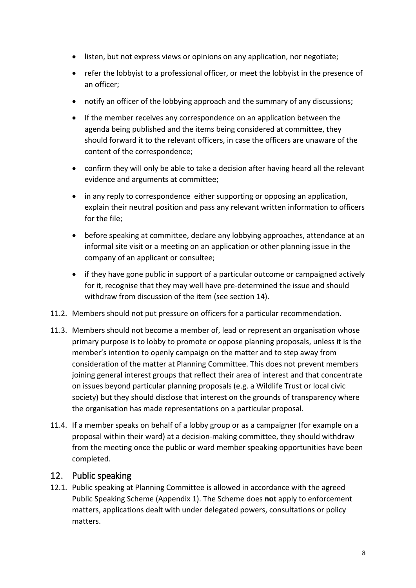- listen, but not express views or opinions on any application, nor negotiate;
- refer the lobbyist to a professional officer, or meet the lobbyist in the presence of an officer;
- notify an officer of the lobbying approach and the summary of any discussions;
- If the member receives any correspondence on an application between the agenda being published and the items being considered at committee, they should forward it to the relevant officers, in case the officers are unaware of the content of the correspondence;
- confirm they will only be able to take a decision after having heard all the relevant evidence and arguments at committee;
- in any reply to correspondence either supporting or opposing an application, explain their neutral position and pass any relevant written information to officers for the file;
- before speaking at committee, declare any lobbying approaches, attendance at an informal site visit or a meeting on an application or other planning issue in the company of an applicant or consultee;
- if they have gone public in support of a particular outcome or campaigned actively for it, recognise that they may well have pre-determined the issue and should withdraw from discussion of the item (see section 14).
- 11.2. Members should not put pressure on officers for a particular recommendation.
- 11.3. Members should not become a member of, lead or represent an organisation whose primary purpose is to lobby to promote or oppose planning proposals, unless it is the member's intention to openly campaign on the matter and to step away from consideration of the matter at Planning Committee. This does not prevent members joining general interest groups that reflect their area of interest and that concentrate on issues beyond particular planning proposals (e.g. a Wildlife Trust or local civic society) but they should disclose that interest on the grounds of transparency where the organisation has made representations on a particular proposal.
- 11.4. If a member speaks on behalf of a lobby group or as a campaigner (for example on a proposal within their ward) at a decision-making committee, they should withdraw from the meeting once the public or ward member speaking opportunities have been completed.

#### <span id="page-7-0"></span>12. Public speaking

12.1. Public speaking at Planning Committee is allowed in accordance with the agreed Public Speaking Scheme (Appendix 1). The Scheme does **not** apply to enforcement matters, applications dealt with under delegated powers, consultations or policy matters.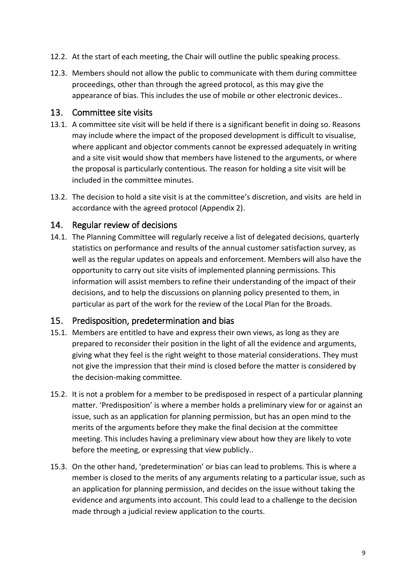- 12.2. At the start of each meeting, the Chair will outline the public speaking process.
- 12.3. Members should not allow the public to communicate with them during committee proceedings, other than through the agreed protocol, as this may give the appearance of bias. This includes the use of mobile or other electronic devices..

#### <span id="page-8-0"></span>13. Committee site visits

- 13.1. A committee site visit will be held if there is a significant benefit in doing so. Reasons may include where the impact of the proposed development is difficult to visualise, where applicant and objector comments cannot be expressed adequately in writing and a site visit would show that members have listened to the arguments, or where the proposal is particularly contentious. The reason for holding a site visit will be included in the committee minutes.
- 13.2. The decision to hold a site visit is at the committee's discretion, and visits are held in accordance with the agreed protocol (Appendix 2).

#### <span id="page-8-1"></span>14. Regular review of decisions

14.1. The Planning Committee will regularly receive a list of delegated decisions, quarterly statistics on performance and results of the annual customer satisfaction survey, as well as the regular updates on appeals and enforcement. Members will also have the opportunity to carry out site visits of implemented planning permissions. This information will assist members to refine their understanding of the impact of their decisions, and to help the discussions on planning policy presented to them, in particular as part of the work for the review of the Local Plan for the Broads.

#### <span id="page-8-2"></span>15. Predisposition, predetermination and bias

- 15.1. Members are entitled to have and express their own views, as long as they are prepared to reconsider their position in the light of all the evidence and arguments, giving what they feel is the right weight to those material considerations. They must not give the impression that their mind is closed before the matter is considered by the decision-making committee.
- 15.2. It is not a problem for a member to be predisposed in respect of a particular planning matter. 'Predisposition' is where a member holds a preliminary view for or against an issue, such as an application for planning permission, but has an open mind to the merits of the arguments before they make the final decision at the committee meeting. This includes having a preliminary view about how they are likely to vote before the meeting, or expressing that view publicly..
- 15.3. On the other hand, 'predetermination' or bias can lead to problems. This is where a member is closed to the merits of any arguments relating to a particular issue, such as an application for planning permission, and decides on the issue without taking the evidence and arguments into account. This could lead to a challenge to the decision made through a judicial review application to the courts.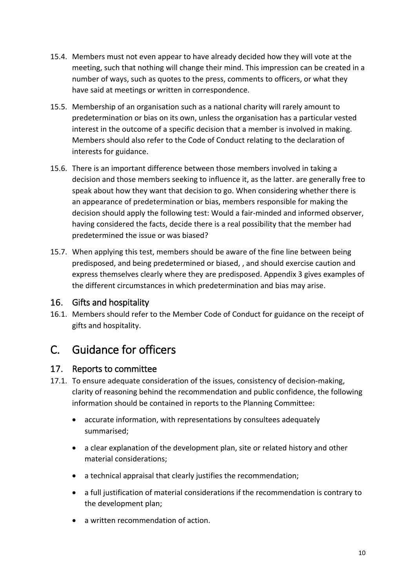- 15.4. Members must not even appear to have already decided how they will vote at the meeting, such that nothing will change their mind. This impression can be created in a number of ways, such as quotes to the press, comments to officers, or what they have said at meetings or written in correspondence.
- 15.5. Membership of an organisation such as a national charity will rarely amount to predetermination or bias on its own, unless the organisation has a particular vested interest in the outcome of a specific decision that a member is involved in making. Members should also refer to the Code of Conduct relating to the declaration of interests for guidance.
- 15.6. There is an important difference between those members involved in taking a decision and those members seeking to influence it, as the latter. are generally free to speak about how they want that decision to go. When considering whether there is an appearance of predetermination or bias, members responsible for making the decision should apply the following test: Would a fair-minded and informed observer, having considered the facts, decide there is a real possibility that the member had predetermined the issue or was biased?
- 15.7. When applying this test, members should be aware of the fine line between being predisposed, and being predetermined or biased, , and should exercise caution and express themselves clearly where they are predisposed. Appendix 3 gives examples of the different circumstances in which predetermination and bias may arise.

## <span id="page-9-0"></span>16. Gifts and hospitality

16.1. Members should refer to the Member Code of Conduct for guidance on the receipt of gifts and hospitality.

# <span id="page-9-1"></span>C. Guidance for officers

#### <span id="page-9-2"></span>17. Reports to committee

- 17.1. To ensure adequate consideration of the issues, consistency of decision-making, clarity of reasoning behind the recommendation and public confidence, the following information should be contained in reports to the Planning Committee:
	- accurate information, with representations by consultees adequately summarised;
	- a clear explanation of the development plan, site or related history and other material considerations;
	- a technical appraisal that clearly justifies the recommendation;
	- a full justification of material considerations if the recommendation is contrary to the development plan;
	- a written recommendation of action.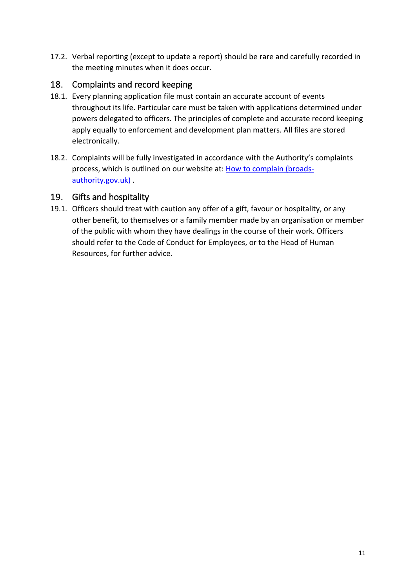17.2. Verbal reporting (except to update a report) should be rare and carefully recorded in the meeting minutes when it does occur.

# <span id="page-10-0"></span>18. Complaints and record keeping

- 18.1. Every planning application file must contain an accurate account of events throughout its life. Particular care must be taken with applications determined under powers delegated to officers. The principles of complete and accurate record keeping apply equally to enforcement and development plan matters. All files are stored electronically.
- 18.2. Complaints will be fully investigated in accordance with the Authority's complaints process, which is outlined on our website at: [How to complain \(broads](https://www.broads-authority.gov.uk/contact-us/comments-and-complaints/how-to-complain)[authority.gov.uk\)](https://www.broads-authority.gov.uk/contact-us/comments-and-complaints/how-to-complain) .

## <span id="page-10-1"></span>19. Gifts and hospitality

19.1. Officers should treat with caution any offer of a gift, favour or hospitality, or any other benefit, to themselves or a family member made by an organisation or member of the public with whom they have dealings in the course of their work. Officers should refer to the Code of Conduct for Employees, or to the Head of Human Resources, for further advice.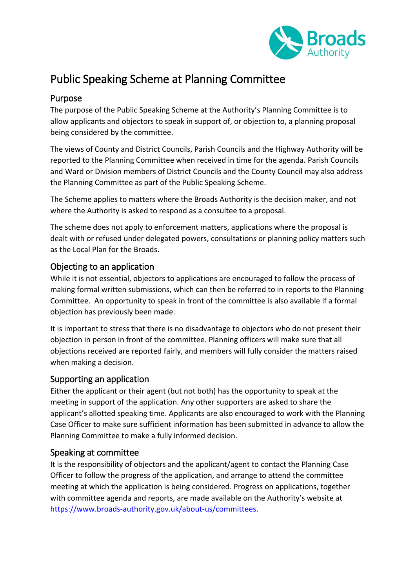

# <span id="page-11-0"></span>Public Speaking Scheme at Planning Committee

## <span id="page-11-1"></span>Purpose

The purpose of the Public Speaking Scheme at the Authority's Planning Committee is to allow applicants and objectors to speak in support of, or objection to, a planning proposal being considered by the committee.

The views of County and District Councils, Parish Councils and the Highway Authority will be reported to the Planning Committee when received in time for the agenda. Parish Councils and Ward or Division members of District Councils and the County Council may also address the Planning Committee as part of the Public Speaking Scheme.

The Scheme applies to matters where the Broads Authority is the decision maker, and not where the Authority is asked to respond as a consultee to a proposal.

The scheme does not apply to enforcement matters, applications where the proposal is dealt with or refused under delegated powers, consultations or planning policy matters such as the Local Plan for the Broads.

#### <span id="page-11-2"></span>Objecting to an application

While it is not essential, objectors to applications are encouraged to follow the process of making formal written submissions, which can then be referred to in reports to the Planning Committee. An opportunity to speak in front of the committee is also available if a formal objection has previously been made.

It is important to stress that there is no disadvantage to objectors who do not present their objection in person in front of the committee. Planning officers will make sure that all objections received are reported fairly, and members will fully consider the matters raised when making a decision.

#### <span id="page-11-3"></span>Supporting an application

Either the applicant or their agent (but not both) has the opportunity to speak at the meeting in support of the application. Any other supporters are asked to share the applicant's allotted speaking time. Applicants are also encouraged to work with the Planning Case Officer to make sure sufficient information has been submitted in advance to allow the Planning Committee to make a fully informed decision.

#### <span id="page-11-4"></span>Speaking at committee

It is the responsibility of objectors and the applicant/agent to contact the Planning Case Officer to follow the progress of the application, and arrange to attend the committee meeting at which the application is being considered. Progress on applications, together with committee agenda and reports, are made available on the Authority's website at [https://www.broads-authority.gov.uk/about-us/committees.](https://www.broads-authority.gov.uk/about-us/committees)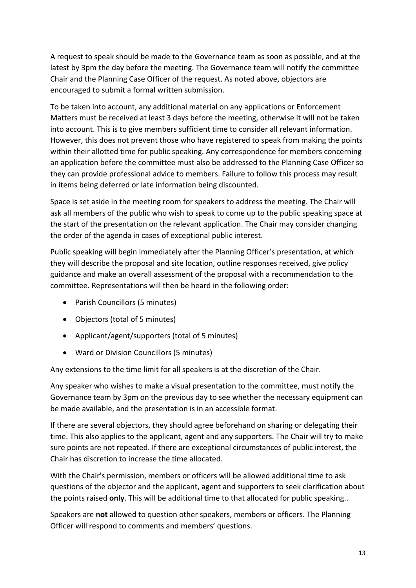A request to speak should be made to the Governance team as soon as possible, and at the latest by 3pm the day before the meeting. The Governance team will notify the committee Chair and the Planning Case Officer of the request. As noted above, objectors are encouraged to submit a formal written submission.

To be taken into account, any additional material on any applications or Enforcement Matters must be received at least 3 days before the meeting, otherwise it will not be taken into account. This is to give members sufficient time to consider all relevant information. However, this does not prevent those who have registered to speak from making the points within their allotted time for public speaking. Any correspondence for members concerning an application before the committee must also be addressed to the Planning Case Officer so they can provide professional advice to members. Failure to follow this process may result in items being deferred or late information being discounted.

Space is set aside in the meeting room for speakers to address the meeting. The Chair will ask all members of the public who wish to speak to come up to the public speaking space at the start of the presentation on the relevant application. The Chair may consider changing the order of the agenda in cases of exceptional public interest.

Public speaking will begin immediately after the Planning Officer's presentation, at which they will describe the proposal and site location, outline responses received, give policy guidance and make an overall assessment of the proposal with a recommendation to the committee. Representations will then be heard in the following order:

- Parish Councillors (5 minutes)
- Objectors (total of 5 minutes)
- Applicant/agent/supporters (total of 5 minutes)
- Ward or Division Councillors (5 minutes)

Any extensions to the time limit for all speakers is at the discretion of the Chair.

Any speaker who wishes to make a visual presentation to the committee, must notify the Governance team by 3pm on the previous day to see whether the necessary equipment can be made available, and the presentation is in an accessible format.

If there are several objectors, they should agree beforehand on sharing or delegating their time. This also applies to the applicant, agent and any supporters. The Chair will try to make sure points are not repeated. If there are exceptional circumstances of public interest, the Chair has discretion to increase the time allocated.

With the Chair's permission, members or officers will be allowed additional time to ask questions of the objector and the applicant, agent and supporters to seek clarification about the points raised **only**. This will be additional time to that allocated for public speaking..

Speakers are **not** allowed to question other speakers, members or officers. The Planning Officer will respond to comments and members' questions.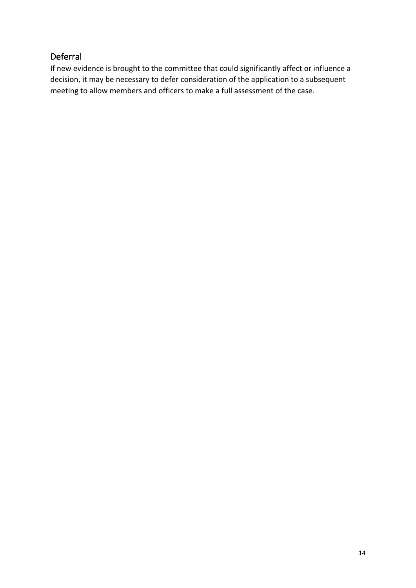# <span id="page-13-0"></span>Deferral

If new evidence is brought to the committee that could significantly affect or influence a decision, it may be necessary to defer consideration of the application to a subsequent meeting to allow members and officers to make a full assessment of the case.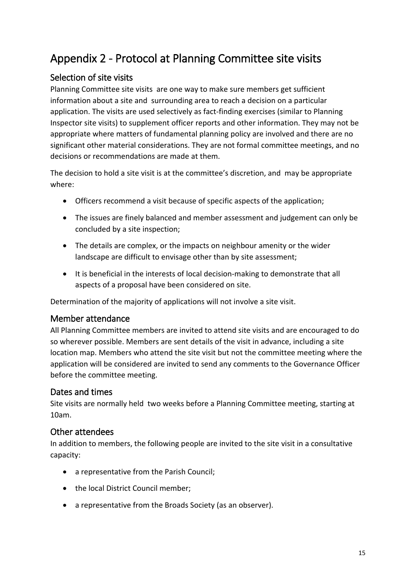# <span id="page-14-0"></span>Appendix 2 - Protocol at Planning Committee site visits

# <span id="page-14-1"></span>Selection of site visits

Planning Committee site visits are one way to make sure members get sufficient information about a site and surrounding area to reach a decision on a particular application. The visits are used selectively as fact-finding exercises (similar to Planning Inspector site visits) to supplement officer reports and other information. They may not be appropriate where matters of fundamental planning policy are involved and there are no significant other material considerations. They are not formal committee meetings, and no decisions or recommendations are made at them.

The decision to hold a site visit is at the committee's discretion, and may be appropriate where:

- Officers recommend a visit because of specific aspects of the application;
- The issues are finely balanced and member assessment and judgement can only be concluded by a site inspection;
- The details are complex, or the impacts on neighbour amenity or the wider landscape are difficult to envisage other than by site assessment;
- It is beneficial in the interests of local decision-making to demonstrate that all aspects of a proposal have been considered on site.

Determination of the majority of applications will not involve a site visit.

#### <span id="page-14-2"></span>Member attendance

All Planning Committee members are invited to attend site visits and are encouraged to do so wherever possible. Members are sent details of the visit in advance, including a site location map. Members who attend the site visit but not the committee meeting where the application will be considered are invited to send any comments to the Governance Officer before the committee meeting.

#### <span id="page-14-3"></span>Dates and times

Site visits are normally held two weeks before a Planning Committee meeting, starting at 10am.

## <span id="page-14-4"></span>Other attendees

In addition to members, the following people are invited to the site visit in a consultative capacity:

- a representative from the Parish Council;
- the local District Council member;
- a representative from the Broads Society (as an observer).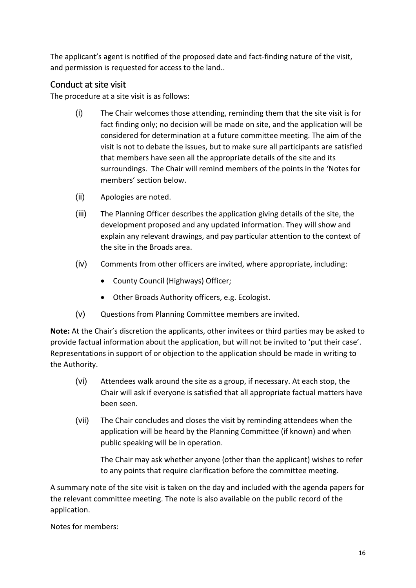The applicant's agent is notified of the proposed date and fact-finding nature of the visit, and permission is requested for access to the land..

#### <span id="page-15-0"></span>Conduct at site visit

The procedure at a site visit is as follows:

- (i) The Chair welcomes those attending, reminding them that the site visit is for fact finding only; no decision will be made on site, and the application will be considered for determination at a future committee meeting. The aim of the visit is not to debate the issues, but to make sure all participants are satisfied that members have seen all the appropriate details of the site and its surroundings. The Chair will remind members of the points in the 'Notes for members' section below.
- (ii) Apologies are noted.
- (iii) The Planning Officer describes the application giving details of the site, the development proposed and any updated information. They will show and explain any relevant drawings, and pay particular attention to the context of the site in the Broads area.
- (iv) Comments from other officers are invited, where appropriate, including:
	- County Council (Highways) Officer;
	- Other Broads Authority officers, e.g. Ecologist.
- (v) Questions from Planning Committee members are invited.

**Note:** At the Chair's discretion the applicants, other invitees or third parties may be asked to provide factual information about the application, but will not be invited to 'put their case'. Representations in support of or objection to the application should be made in writing to the Authority.

- (vi) Attendees walk around the site as a group, if necessary. At each stop, the Chair will ask if everyone is satisfied that all appropriate factual matters have been seen.
- (vii) The Chair concludes and closes the visit by reminding attendees when the application will be heard by the Planning Committee (if known) and when public speaking will be in operation.

The Chair may ask whether anyone (other than the applicant) wishes to refer to any points that require clarification before the committee meeting.

A summary note of the site visit is taken on the day and included with the agenda papers for the relevant committee meeting. The note is also available on the public record of the application.

Notes for members: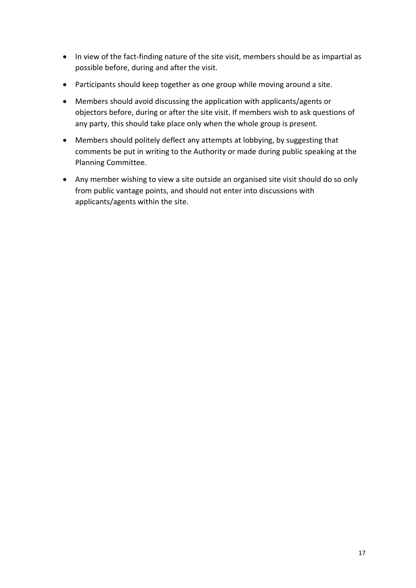- In view of the fact-finding nature of the site visit, members should be as impartial as possible before, during and after the visit.
- Participants should keep together as one group while moving around a site.
- Members should avoid discussing the application with applicants/agents or objectors before, during or after the site visit. If members wish to ask questions of any party, this should take place only when the whole group is present.
- Members should politely deflect any attempts at lobbying, by suggesting that comments be put in writing to the Authority or made during public speaking at the Planning Committee.
- Any member wishing to view a site outside an organised site visit should do so only from public vantage points, and should not enter into discussions with applicants/agents within the site.